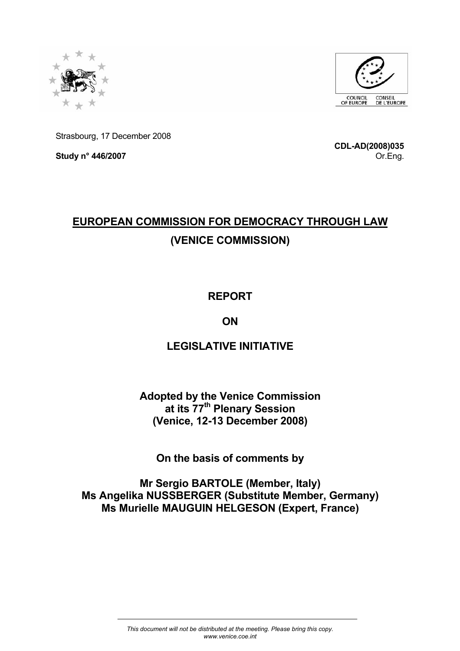



Strasbourg, 17 December 2008

**Study n° 446/2007** 

**CDL-AD(2008)035** Or.Eng.

# **EUROPEAN COMMISSION FOR DEMOCRACY THROUGH LAW (VENICE COMMISSION)**

### **REPORT**

# **ON**

# **LEGISLATIVE INITIATIVE**

### **Adopted by the Venice Commission at its 77th Plenary Session (Venice, 12-13 December 2008)**

**On the basis of comments by** 

**Mr Sergio BARTOLE (Member, Italy) Ms Angelika NUSSBERGER (Substitute Member, Germany) Ms Murielle MAUGUIN HELGESON (Expert, France)**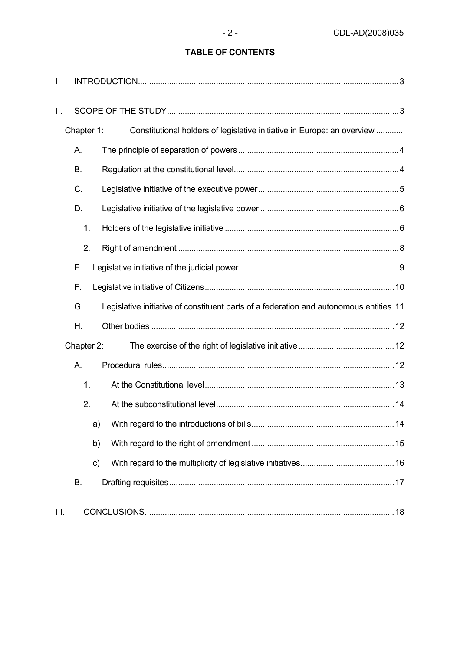### **TABLE OF CONTENTS**

| I.   |               |                                                                                         |  |
|------|---------------|-----------------------------------------------------------------------------------------|--|
| II.  |               |                                                                                         |  |
|      | Chapter 1:    | Constitutional holders of legislative initiative in Europe: an overview                 |  |
|      | А.            |                                                                                         |  |
|      | <b>B.</b>     |                                                                                         |  |
|      | C.            |                                                                                         |  |
|      | D.            |                                                                                         |  |
|      | 1.            |                                                                                         |  |
|      | 2.            |                                                                                         |  |
|      | Е.            |                                                                                         |  |
|      | F.            |                                                                                         |  |
|      | G.            | Legislative initiative of constituent parts of a federation and autonomous entities. 11 |  |
|      | Η.            |                                                                                         |  |
|      | Chapter 2:    |                                                                                         |  |
|      | А.            |                                                                                         |  |
|      | 1.            |                                                                                         |  |
|      | 2.            |                                                                                         |  |
|      | a)            |                                                                                         |  |
|      | b)            |                                                                                         |  |
|      | $\mathsf{c})$ |                                                                                         |  |
|      | <b>B.</b>     |                                                                                         |  |
| III. |               |                                                                                         |  |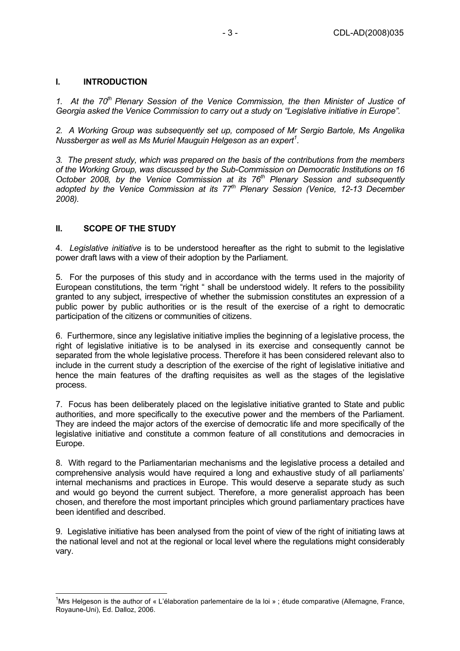#### **I. INTRODUCTION**

1. At the 70<sup>th</sup> Plenary Session of the Venice Commission, the then Minister of Justice of *Georgia asked the Venice Commission to carry out a study on "Legislative initiative in Europe".* 

*2. A Working Group was subsequently set up, composed of Mr Sergio Bartole, Ms Angelika Nussberger as well as Ms Muriel Mauguin Helgeson as an expert<sup>1</sup> .* 

*3. The present study, which was prepared on the basis of the contributions from the members of the Working Group, was discussed by the Sub-Commission on Democratic Institutions on 16 October 2008, by the Venice Commission at its 76<sup>th</sup> Plenary Session and subsequently adopted by the Venice Commission at its 77th Plenary Session (Venice, 12-13 December 2008).* 

#### **II. SCOPE OF THE STUDY**

 $\overline{a}$ 

4. *Legislative initiative* is to be understood hereafter as the right to submit to the legislative power draft laws with a view of their adoption by the Parliament.

5. For the purposes of this study and in accordance with the terms used in the majority of European constitutions, the term "right " shall be understood widely. It refers to the possibility granted to any subject, irrespective of whether the submission constitutes an expression of a public power by public authorities or is the result of the exercise of a right to democratic participation of the citizens or communities of citizens.

6. Furthermore, since any legislative initiative implies the beginning of a legislative process, the right of legislative initiative is to be analysed in its exercise and consequently cannot be separated from the whole legislative process. Therefore it has been considered relevant also to include in the current study a description of the exercise of the right of legislative initiative and hence the main features of the drafting requisites as well as the stages of the legislative process.

7. Focus has been deliberately placed on the legislative initiative granted to State and public authorities, and more specifically to the executive power and the members of the Parliament. They are indeed the major actors of the exercise of democratic life and more specifically of the legislative initiative and constitute a common feature of all constitutions and democracies in Europe.

8. With regard to the Parliamentarian mechanisms and the legislative process a detailed and comprehensive analysis would have required a long and exhaustive study of all parliaments' internal mechanisms and practices in Europe. This would deserve a separate study as such and would go beyond the current subject. Therefore, a more generalist approach has been chosen, and therefore the most important principles which ground parliamentary practices have been identified and described.

9. Legislative initiative has been analysed from the point of view of the right of initiating laws at the national level and not at the regional or local level where the regulations might considerably vary.

<sup>&</sup>lt;sup>1</sup>Mrs Helgeson is the author of « L'élaboration parlementaire de la loi » ; étude comparative (Allemagne, France, Royaune-Uni), Ed. Dalloz, 2006.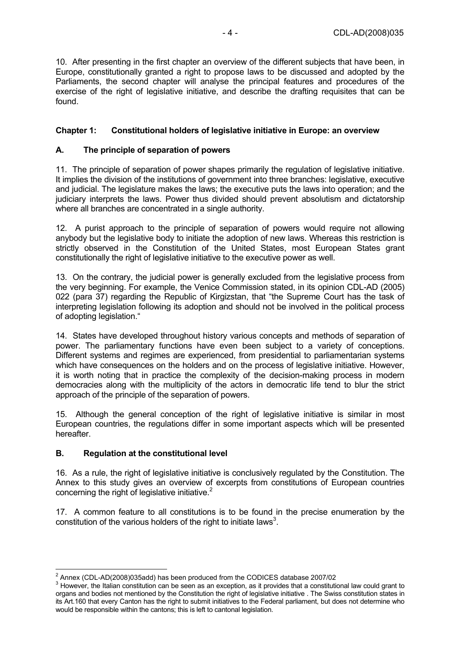10. After presenting in the first chapter an overview of the different subjects that have been, in Europe, constitutionally granted a right to propose laws to be discussed and adopted by the Parliaments, the second chapter will analyse the principal features and procedures of the exercise of the right of legislative initiative, and describe the drafting requisites that can be found.

#### **Chapter 1: Constitutional holders of legislative initiative in Europe: an overview**

#### **A. The principle of separation of powers**

11. The principle of separation of power shapes primarily the regulation of legislative initiative. It implies the division of the institutions of government into three branches: legislative, executive and judicial. The legislature makes the laws; the executive puts the laws into operation; and the judiciary interprets the laws. Power thus divided should prevent absolutism and dictatorship where all branches are concentrated in a single authority.

12. A purist approach to the principle of separation of powers would require not allowing anybody but the legislative body to initiate the adoption of new laws. Whereas this restriction is strictly observed in the Constitution of the United States, most European States grant constitutionally the right of legislative initiative to the executive power as well.

13. On the contrary, the judicial power is generally excluded from the legislative process from the very beginning. For example, the Venice Commission stated, in its opinion CDL-AD (2005) 022 (para 37) regarding the Republic of Kirgizstan, that "the Supreme Court has the task of interpreting legislation following its adoption and should not be involved in the political process of adopting legislation."

14. States have developed throughout history various concepts and methods of separation of power. The parliamentary functions have even been subject to a variety of conceptions. Different systems and regimes are experienced, from presidential to parliamentarian systems which have consequences on the holders and on the process of legislative initiative. However, it is worth noting that in practice the complexity of the decision-making process in modern democracies along with the multiplicity of the actors in democratic life tend to blur the strict approach of the principle of the separation of powers.

15. Although the general conception of the right of legislative initiative is similar in most European countries, the regulations differ in some important aspects which will be presented hereafter.

#### **B. Regulation at the constitutional level**

16. As a rule, the right of legislative initiative is conclusively regulated by the Constitution. The Annex to this study gives an overview of excerpts from constitutions of European countries concerning the right of legislative initiative. $2^2$ 

17. A common feature to all constitutions is to be found in the precise enumeration by the constitution of the various holders of the right to initiate laws<sup>3</sup>.

<sup>2&</sup>lt;br>
<sup>2</sup> Annex (CDL-AD(2008)035add) has been produced from the CODICES database 2007/02

However, the Italian constitution can be seen as an exception, as it provides that a constitutional law could grant to organs and bodies not mentioned by the Constitution the right of legislative initiative . The Swiss constitution states in its Art.160 that every Canton has the right to submit initiatives to the Federal parliament, but does not determine who would be responsible within the cantons; this is left to cantonal legislation.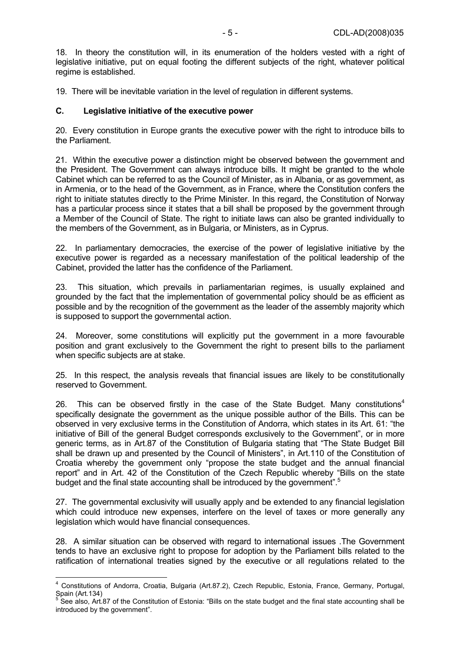18. In theory the constitution will, in its enumeration of the holders vested with a right of legislative initiative, put on equal footing the different subjects of the right, whatever political regime is established.

19. There will be inevitable variation in the level of regulation in different systems.

#### **C. Legislative initiative of the executive power**

20. Every constitution in Europe grants the executive power with the right to introduce bills to the Parliament.

21. Within the executive power a distinction might be observed between the government and the President. The Government can always introduce bills. It might be granted to the whole Cabinet which can be referred to as the Council of Minister, as in Albania, or as government, as in Armenia, or to the head of the Government, as in France, where the Constitution confers the right to initiate statutes directly to the Prime Minister. In this regard, the Constitution of Norway has a particular process since it states that a bill shall be proposed by the government through a Member of the Council of State. The right to initiate laws can also be granted individually to the members of the Government, as in Bulgaria, or Ministers, as in Cyprus.

22. In parliamentary democracies, the exercise of the power of legislative initiative by the executive power is regarded as a necessary manifestation of the political leadership of the Cabinet, provided the latter has the confidence of the Parliament.

23. This situation, which prevails in parliamentarian regimes, is usually explained and grounded by the fact that the implementation of governmental policy should be as efficient as possible and by the recognition of the government as the leader of the assembly majority which is supposed to support the governmental action.

24. Moreover, some constitutions will explicitly put the government in a more favourable position and grant exclusively to the Government the right to present bills to the parliament when specific subjects are at stake.

25. In this respect, the analysis reveals that financial issues are likely to be constitutionally reserved to Government.

26. This can be observed firstly in the case of the State Budget. Many constitutions<sup>4</sup> specifically designate the government as the unique possible author of the Bills. This can be observed in very exclusive terms in the Constitution of Andorra, which states in its Art. 61: "the initiative of Bill of the general Budget corresponds exclusively to the Government", or in more generic terms, as in Art.87 of the Constitution of Bulgaria stating that "The State Budget Bill shall be drawn up and presented by the Council of Ministers", in Art.110 of the Constitution of Croatia whereby the government only "propose the state budget and the annual financial report" and in Art. 42 of the Constitution of the Czech Republic whereby "Bills on the state budget and the final state accounting shall be introduced by the government".<sup>5</sup>

27. The governmental exclusivity will usually apply and be extended to any financial legislation which could introduce new expenses, interfere on the level of taxes or more generally any legislation which would have financial consequences.

28. A similar situation can be observed with regard to international issues .The Government tends to have an exclusive right to propose for adoption by the Parliament bills related to the ratification of international treaties signed by the executive or all regulations related to the

 4 Constitutions of Andorra, Croatia, Bulgaria (Art.87.2), Czech Republic, Estonia, France, Germany, Portugal, Spain (Art.134)<br><sup>5</sup> See also, Art.87 of the Constitution of Estonia: "Bills on the state budget and the final state accounting shall be

introduced by the government".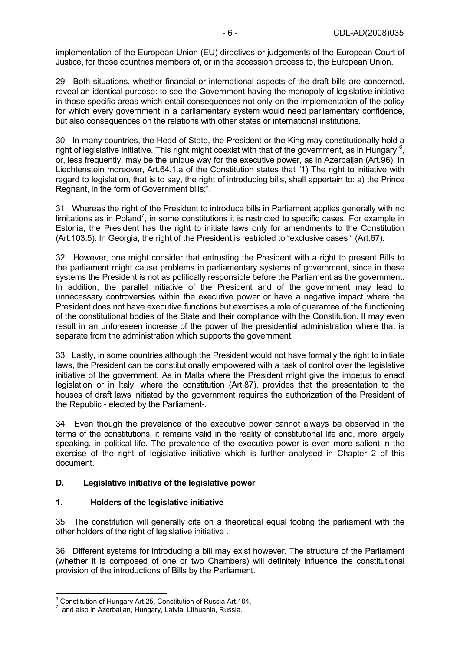implementation of the European Union (EU) directives or judgements of the European Court of Justice, for those countries members of, or in the accession process to, the European Union.

29. Both situations, whether financial or international aspects of the draft bills are concerned, reveal an identical purpose: to see the Government having the monopoly of legislative initiative in those specific areas which entail consequences not only on the implementation of the policy for which every government in a parliamentary system would need parliamentary confidence, but also consequences on the relations with other states or international institutions.

30. In many countries, the Head of State, the President or the King may constitutionally hold a right of legislative initiative. This right might coexist with that of the government, as in Hungary  $6$ , or, less frequently, may be the unique way for the executive power, as in Azerbaijan (Art.96). In Liechtenstein moreover, Art.64.1.a of the Constitution states that "1) The right to initiative with regard to legislation, that is to say, the right of introducing bills, shall appertain to: a) the Prince Regnant, in the form of Government bills;".

31. Whereas the right of the President to introduce bills in Parliament applies generally with no limitations as in Poland<sup>7</sup>, in some constitutions it is restricted to specific cases. For example in Estonia, the President has the right to initiate laws only for amendments to the Constitution (Art.103.5). In Georgia, the right of the President is restricted to "exclusive cases " (Art.67).

32. However, one might consider that entrusting the President with a right to present Bills to the parliament might cause problems in parliamentary systems of government, since in these systems the President is not as politically responsible before the Parliament as the government. In addition, the parallel initiative of the President and of the government may lead to unnecessary controversies within the executive power or have a negative impact where the President does not have executive functions but exercises a role of guarantee of the functioning of the constitutional bodies of the State and their compliance with the Constitution. It may even result in an unforeseen increase of the power of the presidential administration where that is separate from the administration which supports the government.

33. Lastly, in some countries although the President would not have formally the right to initiate laws, the President can be constitutionally empowered with a task of control over the legislative initiative of the government. As in Malta where the President might give the impetus to enact legislation or in Italy, where the constitution (Art.87), provides that the presentation to the houses of draft laws initiated by the government requires the authorization of the President of the Republic - elected by the Parliament-.

34. Even though the prevalence of the executive power cannot always be observed in the terms of the constitutions, it remains valid in the reality of constitutional life and, more largely speaking, in political life. The prevalence of the executive power is even more salient in the exercise of the right of legislative initiative which is further analysed in Chapter 2 of this document.

#### **D. Legislative initiative of the legislative power**

#### **1. Holders of the legislative initiative**

35. The constitution will generally cite on a theoretical equal footing the parliament with the other holders of the right of legislative initiative .

36. Different systems for introducing a bill may exist however. The structure of the Parliament (whether it is composed of one or two Chambers) will definitely influence the constitutional provision of the introductions of Bills by the Parliament.

<sup>&</sup>lt;sup>6</sup><br><sup>6</sup> Constitution of Hungary Art.25, Constitution of Russia Art.104,

and also in Azerbaijan, Hungary, Latvia, Lithuania, Russia.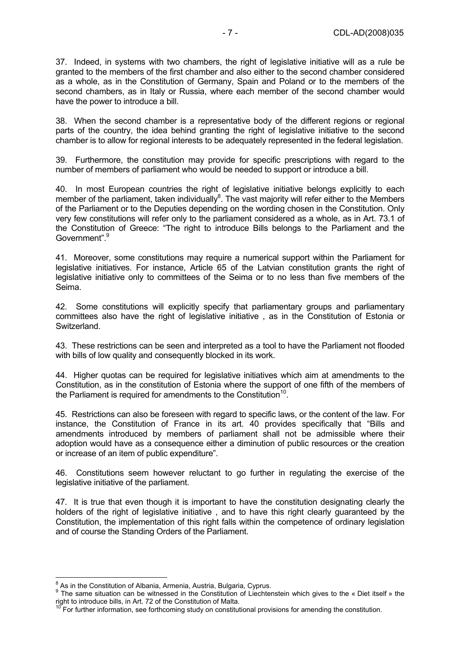37. Indeed, in systems with two chambers, the right of legislative initiative will as a rule be granted to the members of the first chamber and also either to the second chamber considered as a whole, as in the Constitution of Germany, Spain and Poland or to the members of the second chambers, as in Italy or Russia, where each member of the second chamber would have the power to introduce a bill.

38. When the second chamber is a representative body of the different regions or regional parts of the country, the idea behind granting the right of legislative initiative to the second chamber is to allow for regional interests to be adequately represented in the federal legislation.

39. Furthermore, the constitution may provide for specific prescriptions with regard to the number of members of parliament who would be needed to support or introduce a bill.

40. In most European countries the right of legislative initiative belongs explicitly to each member of the parliament, taken individually $^8$ . The vast majority will refer either to the Members of the Parliament or to the Deputies depending on the wording chosen in the Constitution. Only very few constitutions will refer only to the parliament considered as a whole, as in Art. 73.1 of the Constitution of Greece: "The right to introduce Bills belongs to the Parliament and the Government".<sup>9</sup>

41. Moreover, some constitutions may require a numerical support within the Parliament for legislative initiatives. For instance, Article 65 of the Latvian constitution grants the right of legislative initiative only to committees of the Seima or to no less than five members of the Seima.

42. Some constitutions will explicitly specify that parliamentary groups and parliamentary committees also have the right of legislative initiative , as in the Constitution of Estonia or Switzerland.

43. These restrictions can be seen and interpreted as a tool to have the Parliament not flooded with bills of low quality and consequently blocked in its work.

44. Higher quotas can be required for legislative initiatives which aim at amendments to the Constitution, as in the constitution of Estonia where the support of one fifth of the members of the Parliament is required for amendments to the Constitution<sup>10</sup>.

45. Restrictions can also be foreseen with regard to specific laws, or the content of the law. For instance, the Constitution of France in its art. 40 provides specifically that "Bills and amendments introduced by members of parliament shall not be admissible where their adoption would have as a consequence either a diminution of public resources or the creation or increase of an item of public expenditure".

46. Constitutions seem however reluctant to go further in regulating the exercise of the legislative initiative of the parliament.

47. It is true that even though it is important to have the constitution designating clearly the holders of the right of legislative initiative, and to have this right clearly guaranteed by the Constitution, the implementation of this right falls within the competence of ordinary legislation and of course the Standing Orders of the Parliament.

<sup>&</sup>lt;sup>8</sup> As in the Constitution of Albania, Armenia, Austria, Bulgaria, Cyprus.<br><sup>9</sup> The some situation can be witnessed in the Constitution of Lisebter

The same situation can be witnessed in the Constitution of Liechtenstein which gives to the « Diet itself » the right to introduce bills, in Art. 72 of the Constitution of Malta.

<sup>&</sup>lt;sup>10</sup> For further information, see forthcoming study on constitutional provisions for amending the constitution.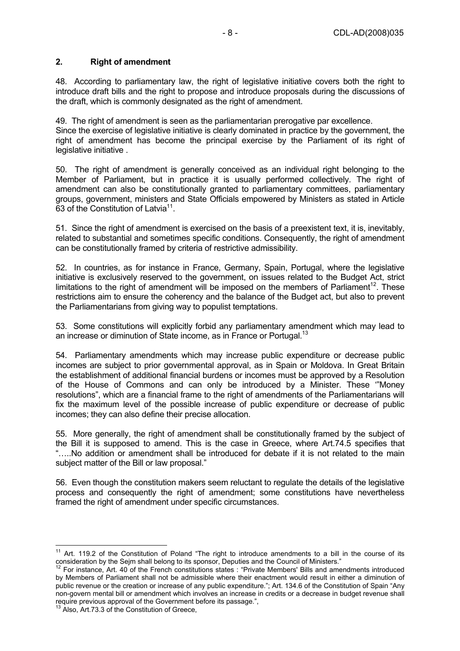### **2. Right of amendment**

48. According to parliamentary law, the right of legislative initiative covers both the right to introduce draft bills and the right to propose and introduce proposals during the discussions of the draft, which is commonly designated as the right of amendment.

49. The right of amendment is seen as the parliamentarian prerogative par excellence. Since the exercise of legislative initiative is clearly dominated in practice by the government, the

right of amendment has become the principal exercise by the Parliament of its right of legislative initiative .

50. The right of amendment is generally conceived as an individual right belonging to the Member of Parliament, but in practice it is usually performed collectively. The right of amendment can also be constitutionally granted to parliamentary committees, parliamentary groups, government, ministers and State Officials empowered by Ministers as stated in Article 63 of the Constitution of Latvia<sup>11</sup>

51. Since the right of amendment is exercised on the basis of a preexistent text, it is, inevitably, related to substantial and sometimes specific conditions. Consequently, the right of amendment can be constitutionally framed by criteria of restrictive admissibility.

52. In countries, as for instance in France, Germany, Spain, Portugal, where the legislative initiative is exclusively reserved to the government, on issues related to the Budget Act, strict limitations to the right of amendment will be imposed on the members of Parliament<sup>12</sup>. These restrictions aim to ensure the coherency and the balance of the Budget act, but also to prevent the Parliamentarians from giving way to populist temptations.

53. Some constitutions will explicitly forbid any parliamentary amendment which may lead to an increase or diminution of State income, as in France or Portugal.<sup>13</sup>

54. Parliamentary amendments which may increase public expenditure or decrease public incomes are subject to prior governmental approval, as in Spain or Moldova. In Great Britain the establishment of additional financial burdens or incomes must be approved by a Resolution of the House of Commons and can only be introduced by a Minister. These '"Money resolutions", which are a financial frame to the right of amendments of the Parliamentarians will fix the maximum level of the possible increase of public expenditure or decrease of public incomes; they can also define their precise allocation.

55. More generally, the right of amendment shall be constitutionally framed by the subject of the Bill it is supposed to amend. This is the case in Greece, where Art.74.5 specifies that "…..No addition or amendment shall be introduced for debate if it is not related to the main subject matter of the Bill or law proposal."

56. Even though the constitution makers seem reluctant to regulate the details of the legislative process and consequently the right of amendment; some constitutions have nevertheless framed the right of amendment under specific circumstances.

 $\overline{1}$  $11$  Art. 119.2 of the Constitution of Poland "The right to introduce amendments to a bill in the course of its consideration by the Sejm shall belong to its sponsor, Deputies and the Council of Ministers." 12 For instance, Art. 40 of the French constitutions states : "Private Members' Bills and amendments introduced

by Members of Parliament shall not be admissible where their enactment would result in either a diminution of public revenue or the creation or increase of any public expenditure."; Art. 134.6 of the Constitution of Spain "Any non-govern mental bill or amendment which involves an increase in credits or a decrease in budget revenue shall require previous approval of the Government before its passage.", 13 Also, Art.73.3 of the Constitution of Greece,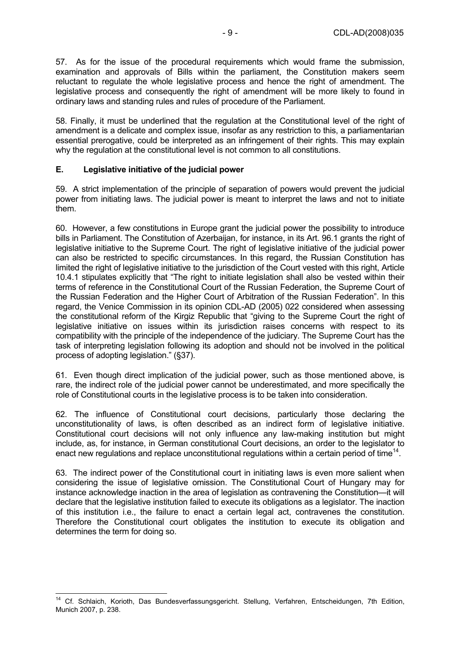57. As for the issue of the procedural requirements which would frame the submission, examination and approvals of Bills within the parliament, the Constitution makers seem reluctant to regulate the whole legislative process and hence the right of amendment. The legislative process and consequently the right of amendment will be more likely to found in ordinary laws and standing rules and rules of procedure of the Parliament.

58. Finally, it must be underlined that the regulation at the Constitutional level of the right of amendment is a delicate and complex issue, insofar as any restriction to this, a parliamentarian essential prerogative, could be interpreted as an infringement of their rights. This may explain why the regulation at the constitutional level is not common to all constitutions.

#### **E. Legislative initiative of the judicial power**

59. A strict implementation of the principle of separation of powers would prevent the judicial power from initiating laws. The judicial power is meant to interpret the laws and not to initiate them.

60. However, a few constitutions in Europe grant the judicial power the possibility to introduce bills in Parliament. The Constitution of Azerbaijan, for instance, in its Art. 96.1 grants the right of legislative initiative to the Supreme Court. The right of legislative initiative of the judicial power can also be restricted to specific circumstances. In this regard, the Russian Constitution has limited the right of legislative initiative to the jurisdiction of the Court vested with this right, Article 10.4.1 stipulates explicitly that "The right to initiate legislation shall also be vested within their terms of reference in the Constitutional Court of the Russian Federation, the Supreme Court of the Russian Federation and the Higher Court of Arbitration of the Russian Federation". In this regard, the Venice Commission in its opinion CDL-AD (2005) 022 considered when assessing the constitutional reform of the Kirgiz Republic that "giving to the Supreme Court the right of legislative initiative on issues within its jurisdiction raises concerns with respect to its compatibility with the principle of the independence of the judiciary. The Supreme Court has the task of interpreting legislation following its adoption and should not be involved in the political process of adopting legislation." (§37).

61. Even though direct implication of the judicial power, such as those mentioned above, is rare, the indirect role of the judicial power cannot be underestimated, and more specifically the role of Constitutional courts in the legislative process is to be taken into consideration.

62. The influence of Constitutional court decisions, particularly those declaring the unconstitutionality of laws, is often described as an indirect form of legislative initiative. Constitutional court decisions will not only influence any law-making institution but might include, as, for instance, in German constitutional Court decisions, an order to the legislator to enact new regulations and replace unconstitutional regulations within a certain period of time<sup>14</sup>.

63. The indirect power of the Constitutional court in initiating laws is even more salient when considering the issue of legislative omission. The Constitutional Court of Hungary may for instance acknowledge inaction in the area of legislation as contravening the Constitution—it will declare that the legislative institution failed to execute its obligations as a legislator. The inaction of this institution i.e., the failure to enact a certain legal act, contravenes the constitution. Therefore the Constitutional court obligates the institution to execute its obligation and determines the term for doing so.

 $\overline{a}$ <sup>14</sup> Cf. Schlaich, Korioth, Das Bundesverfassungsgericht. Stellung, Verfahren, Entscheidungen, 7th Edition, Munich 2007, p. 238.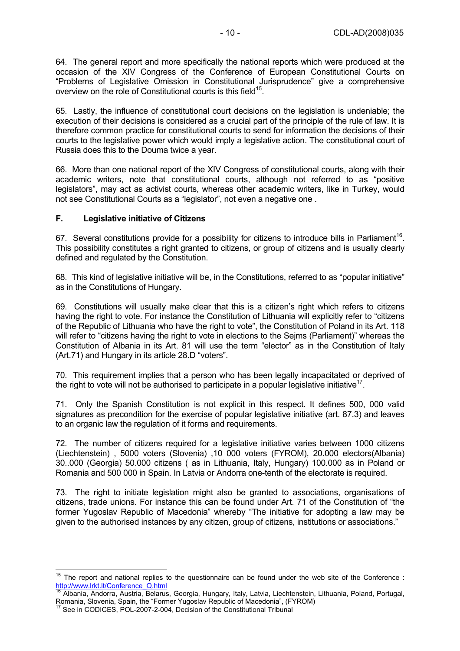64. The general report and more specifically the national reports which were produced at the occasion of the XIV Congress of the Conference of European Constitutional Courts on "Problems of Legislative Omission in Constitutional Jurisprudence" give a comprehensive overview on the role of Constitutional courts is this field<sup>15</sup>.

65. Lastly, the influence of constitutional court decisions on the legislation is undeniable; the execution of their decisions is considered as a crucial part of the principle of the rule of law. It is therefore common practice for constitutional courts to send for information the decisions of their courts to the legislative power which would imply a legislative action. The constitutional court of Russia does this to the Douma twice a year.

66. More than one national report of the XIV Congress of constitutional courts, along with their academic writers, note that constitutional courts, although not referred to as "positive legislators", may act as activist courts, whereas other academic writers, like in Turkey, would not see Constitutional Courts as a "legislator", not even a negative one .

#### **F. Legislative initiative of Citizens**

67. Several constitutions provide for a possibility for citizens to introduce bills in Parliament<sup>16</sup>. This possibility constitutes a right granted to citizens, or group of citizens and is usually clearly defined and regulated by the Constitution.

68. This kind of legislative initiative will be, in the Constitutions, referred to as "popular initiative" as in the Constitutions of Hungary.

69. Constitutions will usually make clear that this is a citizen's right which refers to citizens having the right to vote. For instance the Constitution of Lithuania will explicitly refer to "citizens of the Republic of Lithuania who have the right to vote", the Constitution of Poland in its Art. 118 will refer to "citizens having the right to vote in elections to the Sejms (Parliament)" whereas the Constitution of Albania in its Art. 81 will use the term "elector" as in the Constitution of Italy (Art.71) and Hungary in its article 28.D "voters".

70. This requirement implies that a person who has been legally incapacitated or deprived of the right to vote will not be authorised to participate in a popular legislative initiative<sup>17</sup>.

71. Only the Spanish Constitution is not explicit in this respect. It defines 500, 000 valid signatures as precondition for the exercise of popular legislative initiative (art. 87.3) and leaves to an organic law the regulation of it forms and requirements.

72. The number of citizens required for a legislative initiative varies between 1000 citizens (Liechtenstein) , 5000 voters (Slovenia) ,10 000 voters (FYROM), 20.000 electors(Albania) 30..000 (Georgia) 50.000 citizens ( as in Lithuania, Italy, Hungary) 100.000 as in Poland or Romania and 500 000 in Spain. In Latvia or Andorra one-tenth of the electorate is required.

73. The right to initiate legislation might also be granted to associations, organisations of citizens, trade unions. For instance this can be found under Art. 71 of the Constitution of "the former Yugoslav Republic of Macedonia" whereby "The initiative for adopting a law may be given to the authorised instances by any citizen, group of citizens, institutions or associations."

 $\overline{1}$ 

<sup>&</sup>lt;sup>15</sup> The report and national replies to the questionnaire can be found under the web site of the Conference : http://www.lrkt.lt/Conference\_Q.html

<sup>&</sup>lt;sup>16</sup> Albania, Andorra, Austria, Belarus, Georgia, Hungary, Italy, Latvia, Liechtenstein, Lithuania, Poland, Portugal, Romania, Slovenia, Spain, the "Former Yugoslav Republic of Macedonia", (FYROM) 17 See in CODICES, POL-2007-2-004, Decision of the Constitutional Tribunal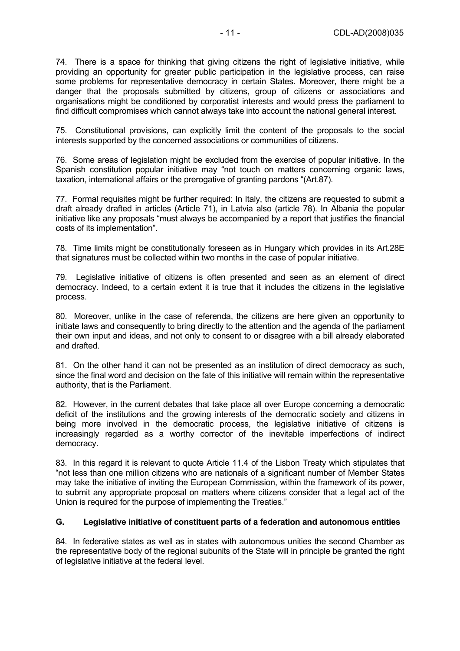74. There is a space for thinking that giving citizens the right of legislative initiative, while providing an opportunity for greater public participation in the legislative process, can raise some problems for representative democracy in certain States. Moreover, there might be a danger that the proposals submitted by citizens, group of citizens or associations and organisations might be conditioned by corporatist interests and would press the parliament to find difficult compromises which cannot always take into account the national general interest.

75. Constitutional provisions, can explicitly limit the content of the proposals to the social interests supported by the concerned associations or communities of citizens.

76. Some areas of legislation might be excluded from the exercise of popular initiative. In the Spanish constitution popular initiative may "not touch on matters concerning organic laws, taxation, international affairs or the prerogative of granting pardons "(Art.87).

77. Formal requisites might be further required: In Italy, the citizens are requested to submit a draft already drafted in articles (Article 71), in Latvia also (article 78). In Albania the popular initiative like any proposals "must always be accompanied by a report that justifies the financial costs of its implementation".

78. Time limits might be constitutionally foreseen as in Hungary which provides in its Art.28E that signatures must be collected within two months in the case of popular initiative.

79. Legislative initiative of citizens is often presented and seen as an element of direct democracy. Indeed, to a certain extent it is true that it includes the citizens in the legislative process.

80. Moreover, unlike in the case of referenda, the citizens are here given an opportunity to initiate laws and consequently to bring directly to the attention and the agenda of the parliament their own input and ideas, and not only to consent to or disagree with a bill already elaborated and drafted.

81. On the other hand it can not be presented as an institution of direct democracy as such, since the final word and decision on the fate of this initiative will remain within the representative authority, that is the Parliament.

82. However, in the current debates that take place all over Europe concerning a democratic deficit of the institutions and the growing interests of the democratic society and citizens in being more involved in the democratic process, the legislative initiative of citizens is increasingly regarded as a worthy corrector of the inevitable imperfections of indirect democracy.

83. In this regard it is relevant to quote Article 11.4 of the Lisbon Treaty which stipulates that "not less than one million citizens who are nationals of a significant number of Member States may take the initiative of inviting the European Commission, within the framework of its power, to submit any appropriate proposal on matters where citizens consider that a legal act of the Union is required for the purpose of implementing the Treaties."

#### **G. Legislative initiative of constituent parts of a federation and autonomous entities**

84. In federative states as well as in states with autonomous unities the second Chamber as the representative body of the regional subunits of the State will in principle be granted the right of legislative initiative at the federal level.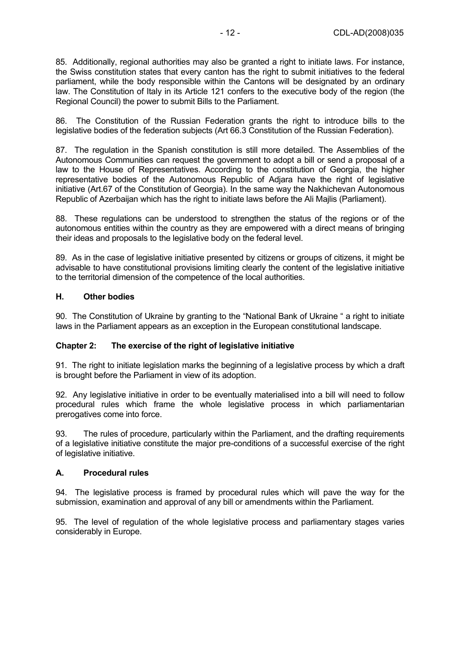85. Additionally, regional authorities may also be granted a right to initiate laws. For instance, the Swiss constitution states that every canton has the right to submit initiatives to the federal parliament, while the body responsible within the Cantons will be designated by an ordinary law. The Constitution of Italy in its Article 121 confers to the executive body of the region (the Regional Council) the power to submit Bills to the Parliament.

86. The Constitution of the Russian Federation grants the right to introduce bills to the legislative bodies of the federation subjects (Art 66.3 Constitution of the Russian Federation).

87. The regulation in the Spanish constitution is still more detailed. The Assemblies of the Autonomous Communities can request the government to adopt a bill or send a proposal of a law to the House of Representatives. According to the constitution of Georgia, the higher representative bodies of the Autonomous Republic of Adjara have the right of legislative initiative (Art.67 of the Constitution of Georgia). In the same way the Nakhichevan Autonomous Republic of Azerbaijan which has the right to initiate laws before the Ali Majlis (Parliament).

88. These regulations can be understood to strengthen the status of the regions or of the autonomous entities within the country as they are empowered with a direct means of bringing their ideas and proposals to the legislative body on the federal level.

89. As in the case of legislative initiative presented by citizens or groups of citizens, it might be advisable to have constitutional provisions limiting clearly the content of the legislative initiative to the territorial dimension of the competence of the local authorities.

#### **H. Other bodies**

90. The Constitution of Ukraine by granting to the "National Bank of Ukraine " a right to initiate laws in the Parliament appears as an exception in the European constitutional landscape.

#### **Chapter 2: The exercise of the right of legislative initiative**

91. The right to initiate legislation marks the beginning of a legislative process by which a draft is brought before the Parliament in view of its adoption.

92. Any legislative initiative in order to be eventually materialised into a bill will need to follow procedural rules which frame the whole legislative process in which parliamentarian prerogatives come into force.

93. The rules of procedure, particularly within the Parliament, and the drafting requirements of a legislative initiative constitute the major pre-conditions of a successful exercise of the right of legislative initiative.

#### **A. Procedural rules**

94. The legislative process is framed by procedural rules which will pave the way for the submission, examination and approval of any bill or amendments within the Parliament.

95. The level of regulation of the whole legislative process and parliamentary stages varies considerably in Europe.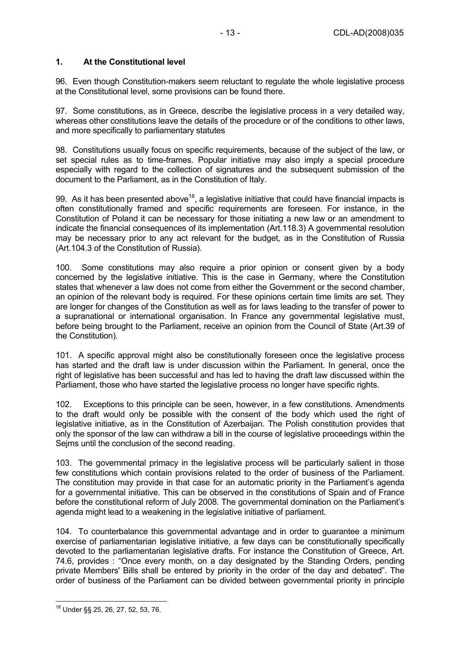#### **1. At the Constitutional level**

96. Even though Constitution-makers seem reluctant to regulate the whole legislative process at the Constitutional level, some provisions can be found there.

97. Some constitutions, as in Greece, describe the legislative process in a very detailed way, whereas other constitutions leave the details of the procedure or of the conditions to other laws, and more specifically to parliamentary statutes

98. Constitutions usually focus on specific requirements, because of the subject of the law, or set special rules as to time-frames. Popular initiative may also imply a special procedure especially with regard to the collection of signatures and the subsequent submission of the document to the Parliament, as in the Constitution of Italy.

99. As it has been presented above<sup>18</sup>, a legislative initiative that could have financial impacts is often constitutionally framed and specific requirements are foreseen. For instance, in the Constitution of Poland it can be necessary for those initiating a new law or an amendment to indicate the financial consequences of its implementation (Art.118.3) A governmental resolution may be necessary prior to any act relevant for the budget, as in the Constitution of Russia (Art.104.3 of the Constitution of Russia).

100. Some constitutions may also require a prior opinion or consent given by a body concerned by the legislative initiative. This is the case in Germany, where the Constitution states that whenever a law does not come from either the Government or the second chamber, an opinion of the relevant body is required. For these opinions certain time limits are set. They are longer for changes of the Constitution as well as for laws leading to the transfer of power to a supranational or international organisation. In France any governmental legislative must, before being brought to the Parliament, receive an opinion from the Council of State (Art.39 of the Constitution).

101. A specific approval might also be constitutionally foreseen once the legislative process has started and the draft law is under discussion within the Parliament. In general, once the right of legislative has been successful and has led to having the draft law discussed within the Parliament, those who have started the legislative process no longer have specific rights.

102. Exceptions to this principle can be seen, however, in a few constitutions. Amendments to the draft would only be possible with the consent of the body which used the right of legislative initiative, as in the Constitution of Azerbaijan. The Polish constitution provides that only the sponsor of the law can withdraw a bill in the course of legislative proceedings within the Sejms until the conclusion of the second reading.

103. The governmental primacy in the legislative process will be particularly salient in those few constitutions which contain provisions related to the order of business of the Parliament. The constitution may provide in that case for an automatic priority in the Parliament's agenda for a governmental initiative. This can be observed in the constitutions of Spain and of France before the constitutional reform of July 2008. The governmental domination on the Parliament's agenda might lead to a weakening in the legislative initiative of parliament.

104. To counterbalance this governmental advantage and in order to guarantee a minimum exercise of parliamentarian legislative initiative, a few days can be constitutionally specifically devoted to the parliamentarian legislative drafts. For instance the Constitution of Greece, Art. 74.6, provides : "Once every month, on a day designated by the Standing Orders, pending private Members' Bills shall be entered by priority in the order of the day and debated". The order of business of the Parliament can be divided between governmental priority in principle

 $\overline{a}$ <sup>18</sup> Under §§ 25, 26, 27, 52, 53, 76.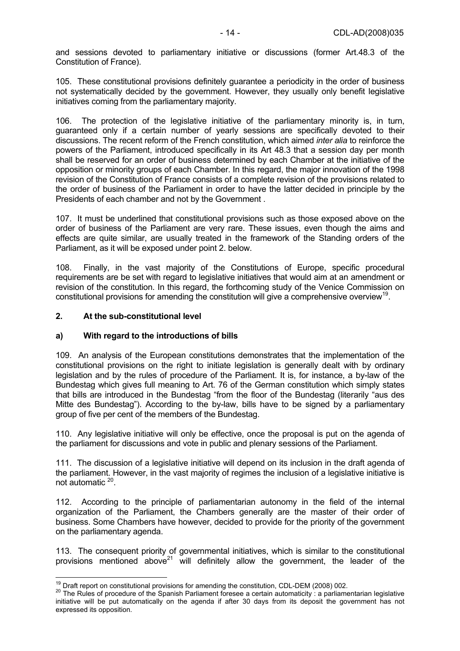and sessions devoted to parliamentary initiative or discussions (former Art.48.3 of the Constitution of France).

105. These constitutional provisions definitely guarantee a periodicity in the order of business not systematically decided by the government. However, they usually only benefit legislative initiatives coming from the parliamentary majority.

106. The protection of the legislative initiative of the parliamentary minority is, in turn, guaranteed only if a certain number of yearly sessions are specifically devoted to their discussions. The recent reform of the French constitution, which aimed *inter alia* to reinforce the powers of the Parliament, introduced specifically in its Art 48.3 that a session day per month shall be reserved for an order of business determined by each Chamber at the initiative of the opposition or minority groups of each Chamber. In this regard, the major innovation of the 1998 revision of the Constitution of France consists of a complete revision of the provisions related to the order of business of the Parliament in order to have the latter decided in principle by the Presidents of each chamber and not by the Government .

107. It must be underlined that constitutional provisions such as those exposed above on the order of business of the Parliament are very rare. These issues, even though the aims and effects are quite similar, are usually treated in the framework of the Standing orders of the Parliament, as it will be exposed under point 2. below.

108. Finally, in the vast majority of the Constitutions of Europe, specific procedural requirements are be set with regard to legislative initiatives that would aim at an amendment or revision of the constitution. In this regard, the forthcoming study of the Venice Commission on constitutional provisions for amending the constitution will give a comprehensive overview<sup>19</sup>.

#### **2. At the sub-constitutional level**

#### **a) With regard to the introductions of bills**

109. An analysis of the European constitutions demonstrates that the implementation of the constitutional provisions on the right to initiate legislation is generally dealt with by ordinary legislation and by the rules of procedure of the Parliament. It is, for instance, a by-law of the Bundestag which gives full meaning to Art. 76 of the German constitution which simply states that bills are introduced in the Bundestag "from the floor of the Bundestag (literarily "aus des Mitte des Bundestag"). According to the by-law, bills have to be signed by a parliamentary group of five per cent of the members of the Bundestag.

110. Any legislative initiative will only be effective, once the proposal is put on the agenda of the parliament for discussions and vote in public and plenary sessions of the Parliament.

111. The discussion of a legislative initiative will depend on its inclusion in the draft agenda of the parliament. However, in the vast majority of regimes the inclusion of a legislative initiative is not automatic 20.

112. According to the principle of parliamentarian autonomy in the field of the internal organization of the Parliament, the Chambers generally are the master of their order of business. Some Chambers have however, decided to provide for the priority of the government on the parliamentary agenda.

113. The consequent priority of governmental initiatives, which is similar to the constitutional provisions mentioned above<sup>21</sup> will definitely allow the government, the leader of the

<sup>&</sup>lt;sup>19</sup> Draft report on constitutional provisions for amending the constitution, CDL-DEM (2008) 002.

<sup>&</sup>lt;sup>20</sup> The Rules of procedure of the Spanish Parliament foresee a certain automaticity : a parliamentarian legislative initiative will be put automatically on the agenda if after 30 days from its deposit the government has not expressed its opposition.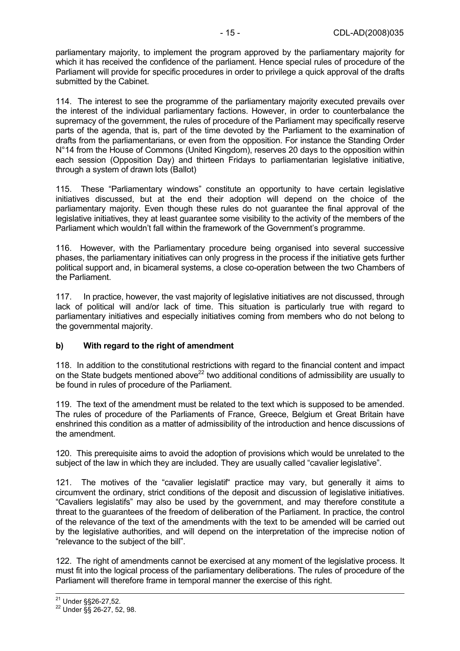parliamentary majority, to implement the program approved by the parliamentary majority for which it has received the confidence of the parliament. Hence special rules of procedure of the Parliament will provide for specific procedures in order to privilege a quick approval of the drafts submitted by the Cabinet.

114. The interest to see the programme of the parliamentary majority executed prevails over the interest of the individual parliamentary factions. However, in order to counterbalance the supremacy of the government, the rules of procedure of the Parliament may specifically reserve parts of the agenda, that is, part of the time devoted by the Parliament to the examination of drafts from the parliamentarians, or even from the opposition. For instance the Standing Order N°14 from the House of Commons (United Kingdom), reserves 20 days to the opposition within each session (Opposition Day) and thirteen Fridays to parliamentarian legislative initiative, through a system of drawn lots (Ballot)

115. These "Parliamentary windows" constitute an opportunity to have certain legislative initiatives discussed, but at the end their adoption will depend on the choice of the parliamentary majority. Even though these rules do not guarantee the final approval of the legislative initiatives, they at least guarantee some visibility to the activity of the members of the Parliament which wouldn't fall within the framework of the Government's programme.

116. However, with the Parliamentary procedure being organised into several successive phases, the parliamentary initiatives can only progress in the process if the initiative gets further political support and, in bicameral systems, a close co-operation between the two Chambers of the Parliament.

117. In practice, however, the vast majority of legislative initiatives are not discussed, through lack of political will and/or lack of time. This situation is particularly true with regard to parliamentary initiatives and especially initiatives coming from members who do not belong to the governmental majority.

#### **b) With regard to the right of amendment**

118. In addition to the constitutional restrictions with regard to the financial content and impact on the State budgets mentioned above<sup>22</sup> two additional conditions of admissibility are usually to be found in rules of procedure of the Parliament.

119. The text of the amendment must be related to the text which is supposed to be amended. The rules of procedure of the Parliaments of France, Greece, Belgium et Great Britain have enshrined this condition as a matter of admissibility of the introduction and hence discussions of the amendment.

120. This prerequisite aims to avoid the adoption of provisions which would be unrelated to the subject of the law in which they are included. They are usually called "cavalier legislative".

121. The motives of the "cavalier legislatif" practice may vary, but generally it aims to circumvent the ordinary, strict conditions of the deposit and discussion of legislative initiatives. "Cavaliers legislatifs" may also be used by the government, and may therefore constitute a threat to the guarantees of the freedom of deliberation of the Parliament. In practice, the control of the relevance of the text of the amendments with the text to be amended will be carried out by the legislative authorities, and will depend on the interpretation of the imprecise notion of "relevance to the subject of the bill".

122. The right of amendments cannot be exercised at any moment of the legislative process. It must fit into the logical process of the parliamentary deliberations. The rules of procedure of the Parliament will therefore frame in temporal manner the exercise of this right.

<sup>&</sup>lt;sup>21</sup> Under §§26-27,52.<br><sup>22</sup> Under §§ 26-27, 52, 98.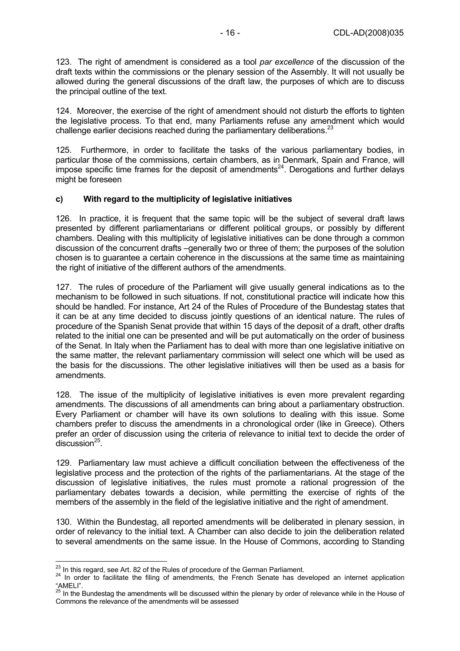123. The right of amendment is considered as a tool *par excellence* of the discussion of the draft texts within the commissions or the plenary session of the Assembly. It will not usually be allowed during the general discussions of the draft law, the purposes of which are to discuss the principal outline of the text.

124. Moreover, the exercise of the right of amendment should not disturb the efforts to tighten the legislative process. To that end, many Parliaments refuse any amendment which would challenge earlier decisions reached during the parliamentary deliberations. $^{23}$ 

125. Furthermore, in order to facilitate the tasks of the various parliamentary bodies, in particular those of the commissions, certain chambers, as in Denmark, Spain and France, will impose specific time frames for the deposit of amendments<sup>24</sup>. Derogations and further delays might be foreseen

#### **c) With regard to the multiplicity of legislative initiatives**

126. In practice, it is frequent that the same topic will be the subject of several draft laws presented by different parliamentarians or different political groups, or possibly by different chambers. Dealing with this multiplicity of legislative initiatives can be done through a common discussion of the concurrent drafts –generally two or three of them; the purposes of the solution chosen is to guarantee a certain coherence in the discussions at the same time as maintaining the right of initiative of the different authors of the amendments.

127. The rules of procedure of the Parliament will give usually general indications as to the mechanism to be followed in such situations. If not, constitutional practice will indicate how this should be handled. For instance, Art 24 of the Rules of Procedure of the Bundestag states that it can be at any time decided to discuss jointly questions of an identical nature. The rules of procedure of the Spanish Senat provide that within 15 days of the deposit of a draft, other drafts related to the initial one can be presented and will be put automatically on the order of business of the Senat. In Italy when the Parliament has to deal with more than one legislative initiative on the same matter, the relevant parliamentary commission will select one which will be used as the basis for the discussions. The other legislative initiatives will then be used as a basis for amendments.

128. The issue of the multiplicity of legislative initiatives is even more prevalent regarding amendments. The discussions of all amendments can bring about a parliamentary obstruction. Every Parliament or chamber will have its own solutions to dealing with this issue. Some chambers prefer to discuss the amendments in a chronological order (like in Greece). Others prefer an order of discussion using the criteria of relevance to initial text to decide the order of discussion $^{25}$ .

129. Parliamentary law must achieve a difficult conciliation between the effectiveness of the legislative process and the protection of the rights of the parliamentarians. At the stage of the discussion of legislative initiatives, the rules must promote a rational progression of the parliamentary debates towards a decision, while permitting the exercise of rights of the members of the assembly in the field of the legislative initiative and the right of amendment.

130. Within the Bundestag, all reported amendments will be deliberated in plenary session, in order of relevancy to the initial text. A Chamber can also decide to join the deliberation related to several amendments on the same issue. In the House of Commons, according to Standing

<sup>&</sup>lt;sup>23</sup> In this regard, see Art. 82 of the Rules of procedure of the German Parliament.

<sup>&</sup>lt;sup>24</sup> In order to facilitate the filing of amendments, the French Senate has developed an internet application "AMELI".

<sup>&</sup>lt;sup>25</sup> In the Bundestag the amendments will be discussed within the plenary by order of relevance while in the House of Commons the relevance of the amendments will be assessed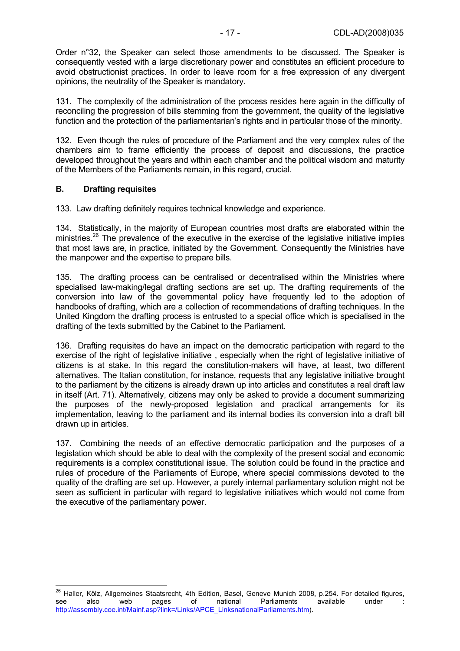Order n°32, the Speaker can select those amendments to be discussed. The Speaker is consequently vested with a large discretionary power and constitutes an efficient procedure to avoid obstructionist practices. In order to leave room for a free expression of any divergent opinions, the neutrality of the Speaker is mandatory.

131. The complexity of the administration of the process resides here again in the difficulty of reconciling the progression of bills stemming from the government, the quality of the legislative function and the protection of the parliamentarian's rights and in particular those of the minority.

132. Even though the rules of procedure of the Parliament and the very complex rules of the chambers aim to frame efficiently the process of deposit and discussions, the practice developed throughout the years and within each chamber and the political wisdom and maturity of the Members of the Parliaments remain, in this regard, crucial.

#### **B. Drafting requisites**

 $\overline{a}$ 

133. Law drafting definitely requires technical knowledge and experience.

134. Statistically, in the majority of European countries most drafts are elaborated within the ministries.<sup>26</sup> The prevalence of the executive in the exercise of the legislative initiative implies that most laws are, in practice, initiated by the Government. Consequently the Ministries have the manpower and the expertise to prepare bills.

135. The drafting process can be centralised or decentralised within the Ministries where specialised law-making/legal drafting sections are set up. The drafting requirements of the conversion into law of the governmental policy have frequently led to the adoption of handbooks of drafting, which are a collection of recommendations of drafting techniques. In the United Kingdom the drafting process is entrusted to a special office which is specialised in the drafting of the texts submitted by the Cabinet to the Parliament.

136. Drafting requisites do have an impact on the democratic participation with regard to the exercise of the right of legislative initiative , especially when the right of legislative initiative of citizens is at stake. In this regard the constitution-makers will have, at least, two different alternatives. The Italian constitution, for instance, requests that any legislative initiative brought to the parliament by the citizens is already drawn up into articles and constitutes a real draft law in itself (Art. 71). Alternatively, citizens may only be asked to provide a document summarizing the purposes of the newly-proposed legislation and practical arrangements for its implementation, leaving to the parliament and its internal bodies its conversion into a draft bill drawn up in articles.

137. Combining the needs of an effective democratic participation and the purposes of a legislation which should be able to deal with the complexity of the present social and economic requirements is a complex constitutional issue. The solution could be found in the practice and rules of procedure of the Parliaments of Europe, where special commissions devoted to the quality of the drafting are set up. However, a purely internal parliamentary solution might not be seen as sufficient in particular with regard to legislative initiatives which would not come from the executive of the parliamentary power.

<sup>&</sup>lt;sup>26</sup> Haller, Kölz, Allgemeines Staatsrecht, 4th Edition, Basel, Geneve Munich 2008, p.254. For detailed figures, see also web pages of national Parliaments available under : http://assembly.coe.int/Mainf.asp?link=/Links/APCE\_LinksnationalParliaments.htm).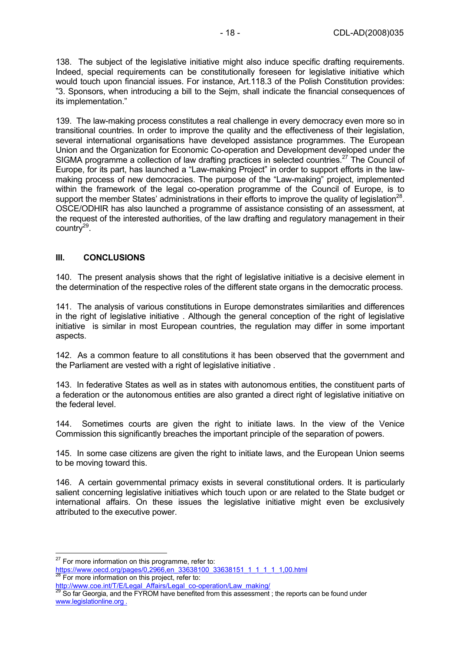138. The subject of the legislative initiative might also induce specific drafting requirements. Indeed, special requirements can be constitutionally foreseen for legislative initiative which would touch upon financial issues. For instance, Art.118.3 of the Polish Constitution provides: "3. Sponsors, when introducing a bill to the Sejm, shall indicate the financial consequences of its implementation."

139. The law-making process constitutes a real challenge in every democracy even more so in transitional countries. In order to improve the quality and the effectiveness of their legislation, several international organisations have developed assistance programmes. The European Union and the Organization for Economic Co-operation and Development developed under the SIGMA programme a collection of law drafting practices in selected countries.<sup>27</sup> The Council of Europe, for its part, has launched a "Law-making Project" in order to support efforts in the lawmaking process of new democracies. The purpose of the "Law-making" project, implemented within the framework of the legal co-operation programme of the Council of Europe, is to support the member States' administrations in their efforts to improve the quality of legislation<sup>28</sup>. OSCE/ODHIR has also launched a programme of assistance consisting of an assessment, at the request of the interested authorities, of the law drafting and regulatory management in their country $^{29}$ .

#### **III. CONCLUSIONS**

140. The present analysis shows that the right of legislative initiative is a decisive element in the determination of the respective roles of the different state organs in the democratic process.

141. The analysis of various constitutions in Europe demonstrates similarities and differences in the right of legislative initiative . Although the general conception of the right of legislative initiative is similar in most European countries, the regulation may differ in some important aspects.

142. As a common feature to all constitutions it has been observed that the government and the Parliament are vested with a right of legislative initiative .

143. In federative States as well as in states with autonomous entities, the constituent parts of a federation or the autonomous entities are also granted a direct right of legislative initiative on the federal level.

144. Sometimes courts are given the right to initiate laws. In the view of the Venice Commission this significantly breaches the important principle of the separation of powers.

145. In some case citizens are given the right to initiate laws, and the European Union seems to be moving toward this.

146. A certain governmental primacy exists in several constitutional orders. It is particularly salient concerning legislative initiatives which touch upon or are related to the State budget or international affairs. On these issues the legislative initiative might even be exclusively attributed to the executive power.

 $\overline{a}$ 

 $27$  For more information on this programme, refer to:

https://www.oecd.org/pages/0,2966,en\_33638100\_33638151\_1\_1\_1\_1\_1,00.html <sup>28</sup> For more information on this project, refer to:

http://www.coe.int/T/E/Legal\_Affairs/Legal\_co-operation/Law\_making/<br><sup>29</sup> So far Georgia, and the FYROM have benefited from this assessment ; the reports can be found under www.legislationline.org .